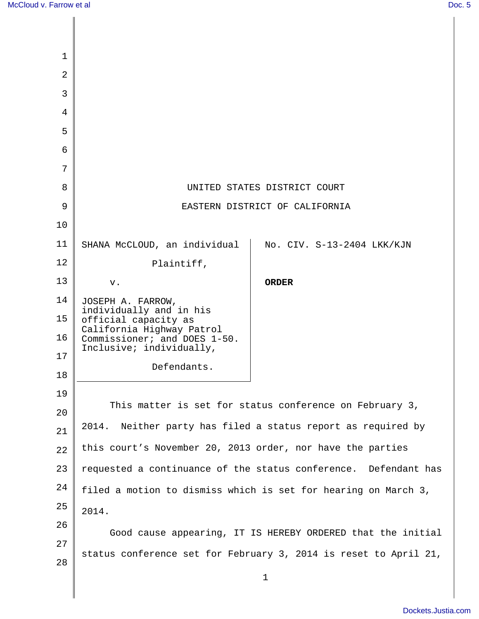| 1              |                                                                  |                            |
|----------------|------------------------------------------------------------------|----------------------------|
| $\overline{2}$ |                                                                  |                            |
| 3              |                                                                  |                            |
| 4              |                                                                  |                            |
| 5              |                                                                  |                            |
| 6              |                                                                  |                            |
| 7              |                                                                  |                            |
| 8              | UNITED STATES DISTRICT COURT                                     |                            |
| 9              | EASTERN DISTRICT OF CALIFORNIA                                   |                            |
| 10             |                                                                  |                            |
| 11             | SHANA McCLOUD, an individual                                     | No. CIV. S-13-2404 LKK/KJN |
| 12             | Plaintiff,                                                       |                            |
| 13             | v.                                                               | <b>ORDER</b>               |
| 14             | JOSEPH A. FARROW,<br>individually and in his                     |                            |
| 15             | official capacity as<br>California Highway Patrol                |                            |
| 16             | Commissioner; and DOES 1-50.<br>Inclusive; individually,         |                            |
| 17             | Defendants.                                                      |                            |
| 18             |                                                                  |                            |
| 19             | This matter is set for status conference on February 3,          |                            |
| 20             | Neither party has filed a status report as required by<br>2014.  |                            |
| 21             |                                                                  |                            |
| 22             | this court's November 20, 2013 order, nor have the parties       |                            |
| 23             | requested a continuance of the status conference. Defendant has  |                            |
| 24             | filed a motion to dismiss which is set for hearing on March 3,   |                            |
| 25             | 2014.                                                            |                            |
| 26             | Good cause appearing, IT IS HEREBY ORDERED that the initial      |                            |
| 27             | status conference set for February 3, 2014 is reset to April 21, |                            |
| 28             | $\mathbf 1$                                                      |                            |
|                |                                                                  |                            |